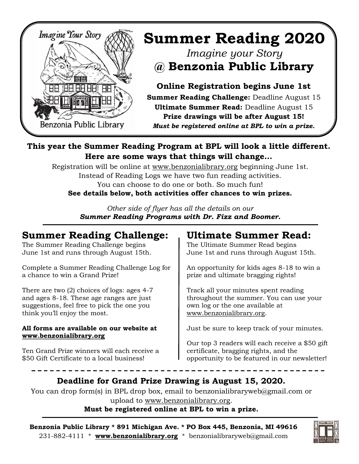

# **Summer Reading 2020** *Imagine your Story*  **@ Benzonia Public Library**

**Online Registration begins June 1st Summer Reading Challenge:** Deadline August 15 **Ultimate Summer Read:** Deadline August 15 **Prize drawings will be after August 15!** *Must be registered online at BPL to win a prize.*

#### **This year the Summer Reading Program at BPL will look a little different. Here are some ways that things will change…**

Registration will be online at [www.benzonialibrary.org](https://www.benzonialibrary.org/) beginning June 1st. Instead of Reading Logs we have two fun reading activities. You can choose to do one or both. So much fun! **See details below, both activities offer chances to win prizes.**

> *Other side of flyer has all the details on our Summer Reading Programs with Dr. Fizz and Boomer.*

# **Summer Reading Challenge:**

The Summer Reading Challenge begins June 1st and runs through August 15th.

Complete a Summer Reading Challenge Log for a chance to win a Grand Prize!

There are two (2) choices of logs: ages 4-7 and ages 8-18. These age ranges are just suggestions, feel free to pick the one you think you'll enjoy the most.

#### **All forms are available on our website at [www.benzonialibrary.org](https://www.benzonialibrary.org/)**

Ten Grand Prize winners will each receive a \$50 Gift Certificate to a local business!

# **Ultimate Summer Read:**

The Ultimate Summer Read begins June 1st and runs through August 15th.

An opportunity for kids ages 8-18 to win a prize and ultimate bragging rights!

Track all your minutes spent reading throughout the summer. You can use your own log or the one available at [www.benzonialibrary.org.](https://www.benzonialibrary.org/)

Just be sure to keep track of your minutes.

Our top 3 readers will each receive a \$50 gift certificate, bragging rights, and the opportunity to be featured in our newsletter!

### **Deadline for Grand Prize Drawing is August 15, 2020.**

You can drop form(s) in BPL drop box, email to benzonialibraryweb@gmail.com or upload to [www.benzonialibrary.org.](https://www.benzonialibrary.org/) **Must be registered online at BPL to win a prize.**

**Benzonia Public Library \* 891 Michigan Ave. \* PO Box 445, Benzonia, MI 49616** 231-882-4111 \* **[www.benzonialibrary.org](https://www.benzonialibrary.org/)** \* benzonialibraryweb@gmail.com